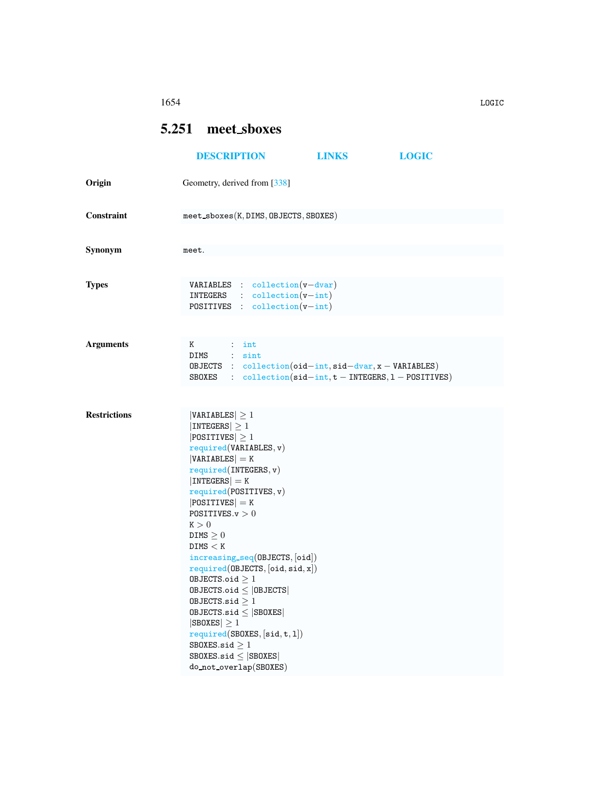## 1654 LOGIC

## <span id="page-0-0"></span>5.251 meet sboxes

|                     | <b>DESCRIPTION</b>                                                                                                                                                                                                                                                                                                                                                                                                                                                                                                                                                                              | <b>LINKS</b>                                                                                                                                               | <b>LOGIC</b> |  |  |  |  |
|---------------------|-------------------------------------------------------------------------------------------------------------------------------------------------------------------------------------------------------------------------------------------------------------------------------------------------------------------------------------------------------------------------------------------------------------------------------------------------------------------------------------------------------------------------------------------------------------------------------------------------|------------------------------------------------------------------------------------------------------------------------------------------------------------|--------------|--|--|--|--|
| Origin              | Geometry, derived from [338]                                                                                                                                                                                                                                                                                                                                                                                                                                                                                                                                                                    |                                                                                                                                                            |              |  |  |  |  |
| Constraint          | $meet\_sboxes(K, DIMS, OBJECTS, SBOKES)$                                                                                                                                                                                                                                                                                                                                                                                                                                                                                                                                                        |                                                                                                                                                            |              |  |  |  |  |
| Synonym             | meet.                                                                                                                                                                                                                                                                                                                                                                                                                                                                                                                                                                                           |                                                                                                                                                            |              |  |  |  |  |
| <b>Types</b>        | <b>VARIABLES</b> : collection $(v - dvar)$<br>$INTEGRS$ : $\text{collection}(v\text{-}int)$<br><b>POSITIVES</b> : $\text{collection}(v\text{-}int)$                                                                                                                                                                                                                                                                                                                                                                                                                                             |                                                                                                                                                            |              |  |  |  |  |
| <b>Arguments</b>    | Κ<br>$\therefore$ int<br>DIMS : sint                                                                                                                                                                                                                                                                                                                                                                                                                                                                                                                                                            | OBJECTS : $collection(oid-int, sid-dvar, x - VARIABLES)$<br>SBOXES : $\text{collection}(\text{sid} - \text{int}, t - \text{INTEGRS}, 1 - \text{POSITION})$ |              |  |  |  |  |
| <b>Restrictions</b> | $ VARIABLES  \geq 1$<br> INTEGERS  > 1<br>$ POSITIVES  \geq 1$<br>required(VARIABLES, v)<br>$ VARIABLES  = K$<br>required(INTERS, v)<br>$ INTEGERS  = K$<br>required(POSTTIVES, v)<br>$ POSITIVES  = K$<br>POSITIVES. $v > 0$<br>K > 0<br>DIMS $\geq 0$<br>DIMS < K<br>increasing_seq(OBJECTS, [oid])<br>required(OBIECTS, [oid, sid, x])<br>OBJECTS.oid $\geq 1$<br>$0$ BJECTS.oid $\leq$  OBJECTS <br>OBJECTS.sid $\geq 1$<br>$0$ BJECTS.sid $\leq$ SB0XES<br>$ SBOKES  \geq 1$<br>required(SBOXES, [sid, t, 1])<br>SBOXES.sid $\geq 1$<br>SBOXES.sid $\leq$ SBOXES<br>do_not_overlap(SBOXES) |                                                                                                                                                            |              |  |  |  |  |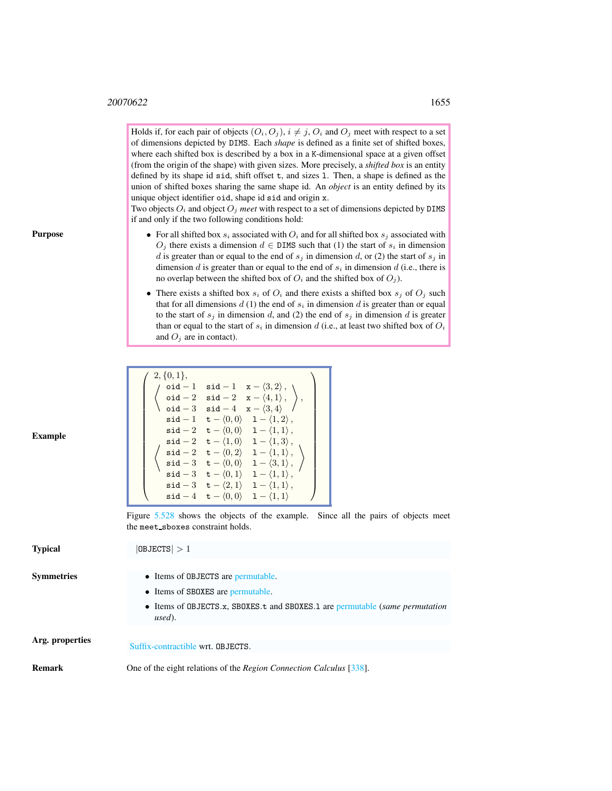Holds if, for each pair of objects  $(O_i, O_j)$ ,  $i \neq j$ ,  $O_i$  and  $O_j$  meet with respect to a set of dimensions depicted by DIMS. Each *shape* is defined as a finite set of shifted boxes, where each shifted box is described by a box in a K-dimensional space at a given offset (from the origin of the shape) with given sizes. More precisely, a *shifted box* is an entity defined by its shape id sid, shift offset t, and sizes l. Then, a shape is defined as the union of shifted boxes sharing the same shape id. An *object* is an entity defined by its unique object identifier oid, shape id sid and origin x.

Two objects  $O_i$  and object  $O_j$  *meet* with respect to a set of dimensions depicted by DIMS if and only if the two following conditions hold:

- For all shifted box  $s_i$  associated with  $O_i$  and for all shifted box  $s_j$  associated with  $O_j$  there exists a dimension  $d \in \text{DIMS}$  such that (1) the start of  $s_i$  in dimension d is greater than or equal to the end of  $s_j$  in dimension d, or (2) the start of  $s_j$  in dimension  $d$  is greater than or equal to the end of  $s_i$  in dimension  $d$  (i.e., there is no overlap between the shifted box of  $O_i$  and the shifted box of  $O_j$ ).
- There exists a shifted box  $s_i$  of  $O_i$  and there exists a shifted box  $s_j$  of  $O_j$  such that for all dimensions  $d(1)$  the end of  $s_i$  in dimension  $d$  is greater than or equal to the start of  $s_j$  in dimension d, and (2) the end of  $s_j$  in dimension d is greater than or equal to the start of  $s_i$  in dimension d (i.e., at least two shifted box of  $O_i$ and  $O_i$  are in contact).

| <b>Example</b>    | $2, \{0,1\},\$<br>$\left(\begin{array}{ccc} \sqrt{c^3/2} & \text{oid} - 1 & \text{sid} - 1 & x - \langle 3, 2 \rangle \\ \text{oid} - 2 & \text{sid} - 2 & x - \langle 4, 1 \rangle \\ \text{oid} - 3 & \text{sid} - 4 & x - \langle 3, 4 \rangle \end{array}\right),$<br>$\mathsf{sid-1} \quad \mathsf{t}-\langle 0,0 \rangle \quad 1-\langle 1,2 \rangle\,,$<br>$\mathsf{sid-2} \quad \mathsf{t}-\langle 0,0\rangle \quad 1-\langle 1,1\rangle\,,$<br>$\left\{\n \begin{array}{ll}\n \text{sid} - 2 & \text{t} - \langle 1,0 \rangle & 1 - \langle 1,3 \rangle, \\ \text{sid} - 2 & \text{t} - \langle 0,2 \rangle & 1 - \langle 1,1 \rangle, \\ \text{sid} - 3 & \text{t} - \langle 0,0 \rangle & 1 - \langle 3,1 \rangle, \\ \text{sid} - 3 & \text{t} - \langle 0,1 \rangle & 1 - \langle 1,1 \rangle, \\ \text{sid} - 3 & \text{t} - \langle 2,1 \rangle & 1 - \langle 1,1 \rangle, \\ \text{sid} - 3 & \text{t} - \langle 2,1 \$<br>$\mathsf{sid-4} \quad \mathsf{t}-\langle 0,0 \rangle \quad 1-\langle 1,1 \rangle$ |  |  |  |  |
|-------------------|------------------------------------------------------------------------------------------------------------------------------------------------------------------------------------------------------------------------------------------------------------------------------------------------------------------------------------------------------------------------------------------------------------------------------------------------------------------------------------------------------------------------------------------------------------------------------------------------------------------------------------------------------------------------------------------------------------------------------------------------------------------------------------------------------------------------------------------------------------------------------------------------------------------------------------------------------------------------------------------------------------------------------|--|--|--|--|
|                   | Figure 5.528 shows the objects of the example. Since all the pairs of objects meet<br>the meet_sboxes constraint holds.                                                                                                                                                                                                                                                                                                                                                                                                                                                                                                                                                                                                                                                                                                                                                                                                                                                                                                      |  |  |  |  |
| <b>Typical</b>    | 0BJECTS >1                                                                                                                                                                                                                                                                                                                                                                                                                                                                                                                                                                                                                                                                                                                                                                                                                                                                                                                                                                                                                   |  |  |  |  |
| <b>Symmetries</b> | • Items of OBJECTS are permutable.<br>• Items of SBOXES are permutable.<br>• Items of OBJECTS.x, SBOXES.t and SBOXES.1 are permutable (same permutation<br>used).                                                                                                                                                                                                                                                                                                                                                                                                                                                                                                                                                                                                                                                                                                                                                                                                                                                            |  |  |  |  |
| Arg. properties   | Suffix-contractible wrt. OBJECTS.                                                                                                                                                                                                                                                                                                                                                                                                                                                                                                                                                                                                                                                                                                                                                                                                                                                                                                                                                                                            |  |  |  |  |

Remark One of the eight relations of the *Region Connection Calculus* [338].

Purpose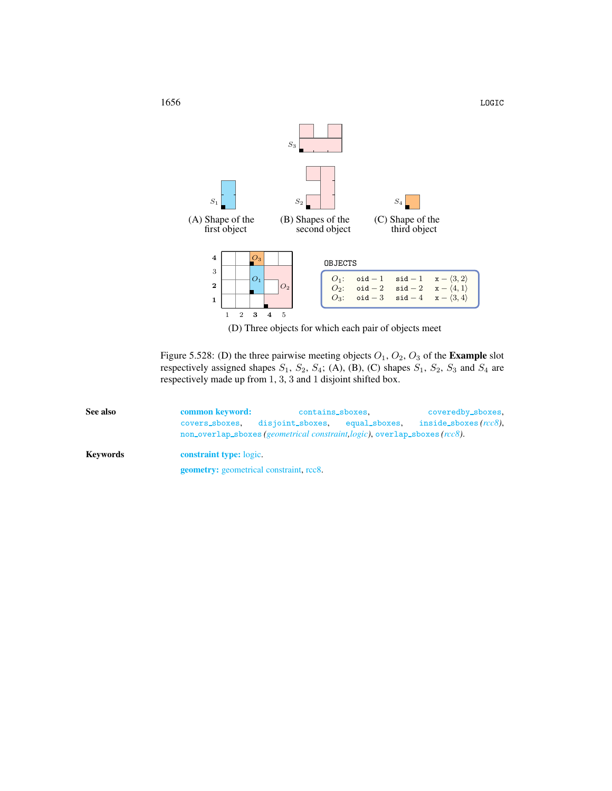

<span id="page-2-1"></span>(D) Three objects for which each pair of objects meet

Figure 5.528: (D) the three pairwise meeting objects  $O_1$ ,  $O_2$ ,  $O_3$  of the **Example** slot respectively assigned shapes  $S_1$ ,  $S_2$ ,  $S_4$ ; (A), (B), (C) shapes  $S_1$ ,  $S_2$ ,  $S_3$  and  $S_4$  are respectively made up from 1, 3, 3 and 1 disjoint shifted box.

<span id="page-2-0"></span>

| See also | common keyword: | contains_sboxes,                                                        |  | coveredby_sboxes,        |  |  |  |
|----------|-----------------|-------------------------------------------------------------------------|--|--------------------------|--|--|--|
|          | covers_sboxes,  | disjoint_sboxes, equal_sboxes,                                          |  | inside_sboxes $(rcc8)$ , |  |  |  |
|          |                 | non_overlap_sboxes(geometrical constraint logic), overlap_sboxes(rcc8). |  |                          |  |  |  |
| Keywords |                 | <b>constraint type:</b> logic.                                          |  |                          |  |  |  |
|          |                 | <b>geometry:</b> geometrical constraint, rcc8.                          |  |                          |  |  |  |